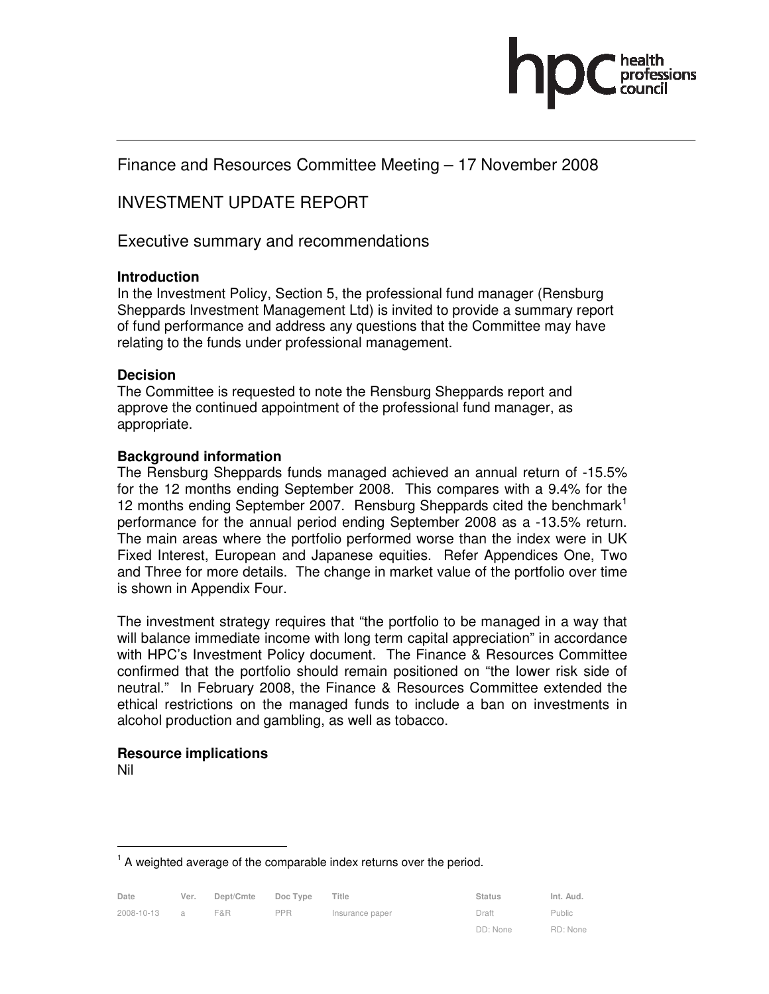

Finance and Resources Committee Meeting – 17 November 2008

# INVESTMENT UPDATE REPORT

Executive summary and recommendations

#### **Introduction**

In the Investment Policy, Section 5, the professional fund manager (Rensburg Sheppards Investment Management Ltd) is invited to provide a summary report of fund performance and address any questions that the Committee may have relating to the funds under professional management.

#### **Decision**

The Committee is requested to note the Rensburg Sheppards report and approve the continued appointment of the professional fund manager, as appropriate.

### **Background information**

The Rensburg Sheppards funds managed achieved an annual return of -15.5% for the 12 months ending September 2008. This compares with a 9.4% for the 12 months ending September 2007. Rensburg Sheppards cited the benchmark<sup>1</sup> performance for the annual period ending September 2008 as a -13.5% return. The main areas where the portfolio performed worse than the index were in UK Fixed Interest, European and Japanese equities. Refer Appendices One, Two and Three for more details. The change in market value of the portfolio over time is shown in Appendix Four.

The investment strategy requires that "the portfolio to be managed in a way that will balance immediate income with long term capital appreciation" in accordance with HPC's Investment Policy document. The Finance & Resources Committee confirmed that the portfolio should remain positioned on "the lower risk side of neutral." In February 2008, the Finance & Resources Committee extended the ethical restrictions on the managed funds to include a ban on investments in alcohol production and gambling, as well as tobacco.

# **Resource implications**

Nil

-

 $<sup>1</sup>$  A weighted average of the comparable index returns over the period.</sup>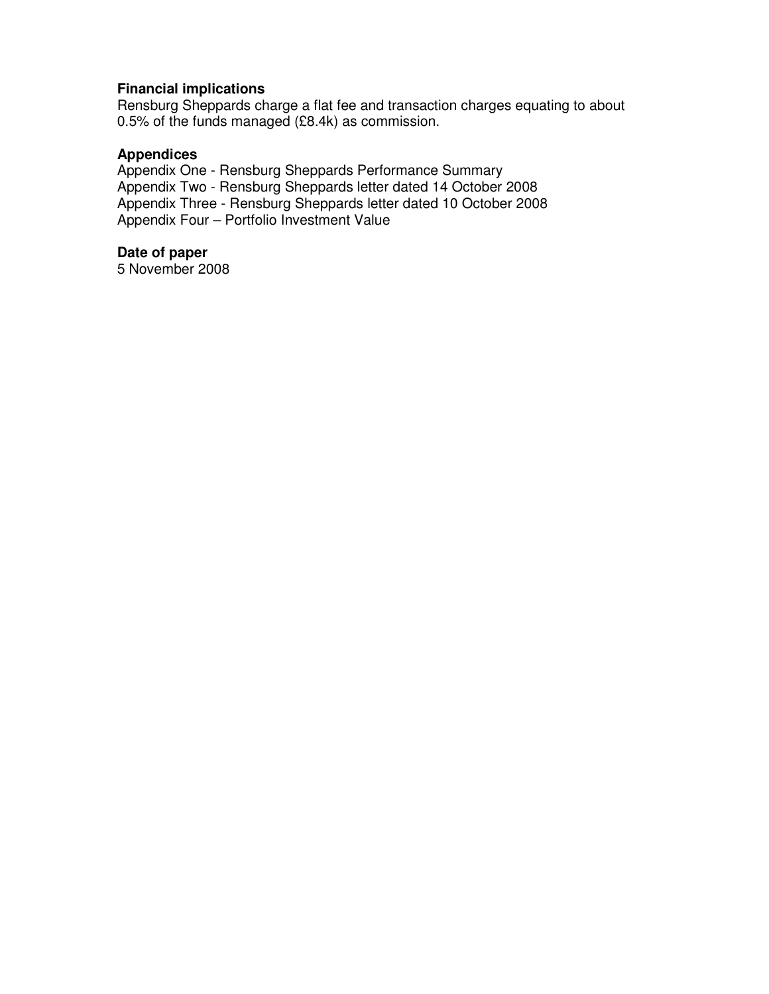### **Financial implications**

Rensburg Sheppards charge a flat fee and transaction charges equating to about 0.5% of the funds managed (£8.4k) as commission.

#### **Appendices**

Appendix One - Rensburg Sheppards Performance Summary Appendix Two - Rensburg Sheppards letter dated 14 October 2008 Appendix Three - Rensburg Sheppards letter dated 10 October 2008 Appendix Four – Portfolio Investment Value

#### **Date of paper**

5 November 2008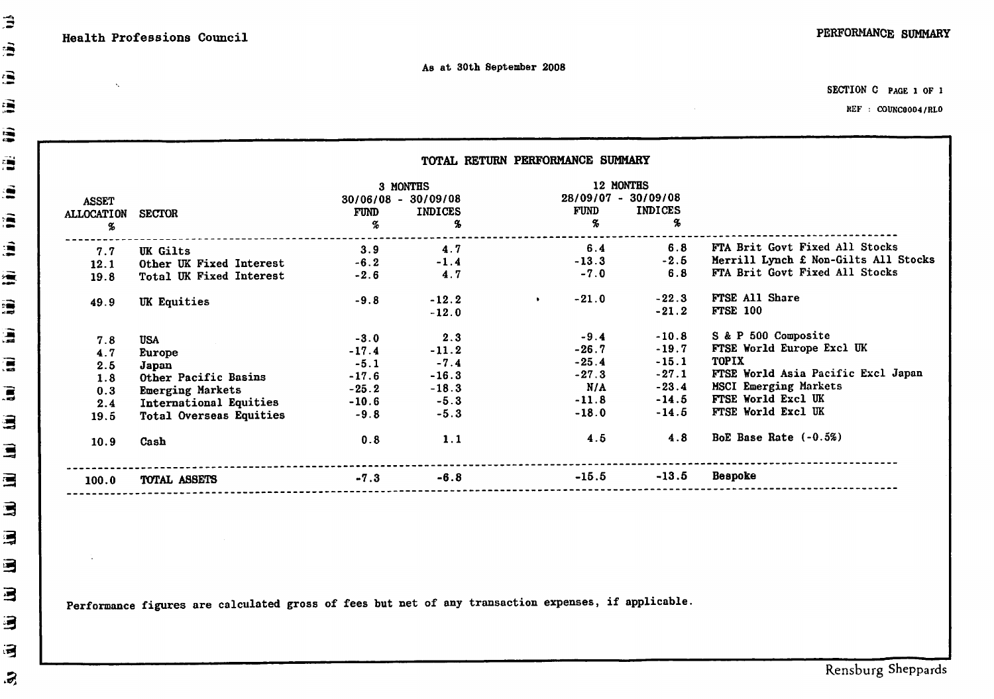$\mathcal{N}_\mathrm{c}$ 

SECTION C PAGE 1 OF 1

 $\sim 10^{-11}$ 

REF : COUNC0004/RLO

|                        |                                | 3 MONTHS              |                      | 12 MONTHS                 |                                      |                                      |
|------------------------|--------------------------------|-----------------------|----------------------|---------------------------|--------------------------------------|--------------------------------------|
| <b>ASSET</b>           |                                | $30/06/08 - 30/09/08$ |                      | $28/09/07 - 30/09/08$     |                                      |                                      |
| <b>ALLOCATION</b><br>% | <b>SECTOR</b>                  | <b>FUND</b><br>%      | <b>INDICES</b><br>X, | FUND<br>$\boldsymbol{\%}$ | <b>INDICES</b><br>$\boldsymbol{q}_b$ |                                      |
|                        |                                |                       |                      |                           |                                      |                                      |
| 7.7                    | <b>UK Gilts</b>                | 3.9                   | 4.7                  | 6.4                       | 6.8                                  | FTA Brit Govt Fixed All Stocks       |
| 12.1                   | Other UK Fixed Interest        | $-6.2$                | $-1.4$               | $-13.3$                   | $-2.5$                               | Merrill Lynch £ Non-Gilts All Stocks |
| 19.8                   | Total UK Fixed Interest        | $-2.6$                | 4.7                  | $-7.0$                    | 6.8                                  | FTA Brit Govt Fixed All Stocks       |
| 49.9                   | UK Equities                    | $-9.8$                | $-12.2$              | $-21.0$<br>$\bullet$      | $-22.3$                              | FTSE All Share                       |
|                        |                                |                       | $-12.0$              |                           | $-21.2$                              | <b>FTSE 100</b>                      |
| 7.8                    | USA                            | $-3.0$                | 2.3                  | $-9.4$                    | $-10.8$                              | S & P 500 Composite                  |
| 4.7                    | Europe                         | $-17.4$               | $-11.2$              | $-26.7$                   | $-19.7$                              | FTSE World Europe Excl UK            |
| 2.5                    | Japan                          | $-5.1$                | $-7.4$               | $-25.4$                   | $-15.1$                              | <b>TOPIX</b>                         |
| 1.8                    | Other Pacific Basins           | $-17.6$               | $-16.3$              | $-27.3$                   | $-27.1$                              | FTSE World Asia Pacific Excl Japan   |
| 0.3                    | <b>Emerging Markets</b>        | $-25.2$               | $-18.3$              | N/A                       | $-23.4$                              | MSCI Emerging Markets                |
| 2.4                    | International Equities         | $-10.6$               | $-5.3$               | $-11.8$                   | $-14.5$                              | FTSE World Excl UK                   |
| 19.5                   | <b>Total Overseas Equities</b> | $-9.8$                | $-5.3$               | $-18.0$                   | $-14.5$                              | FTSE World Excl UK                   |
| 10.9                   | Cash                           | 0.8                   | 1.1                  | 4.5                       | 4.8                                  | BoE Base Rate $(-0.5\%)$             |
|                        |                                | $-7.3$                | $-6.8$               | $-15.5$                   | $-13.5$                              | <b>Bespoke</b>                       |

Performance figures are calculated gross of fees but net of any transaction expenses, if applicable.

Ê

Ê

 $\mathbf{B}$ 

潭

i.

ā

e

演

â

澐

濤

ā

僵

 $\mathbf{r}$ 

這

 $\blacksquare$ 

這

 $\blacksquare$ 

写

国

冒

3

弓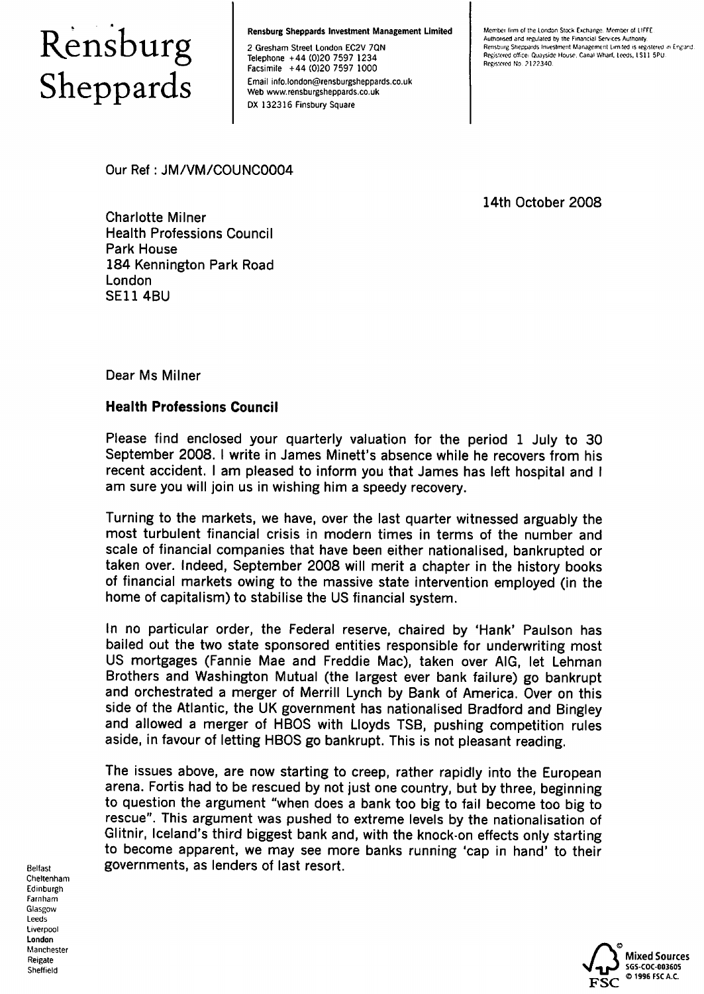# Rensburg<br>Sheppards

**Rensburg Sheppards Investment Management Limited** 

2 Gresham Street London EC2V 7QN Telephone +44 (0)20 7597 1234 Facsimile +44 (0)20 7597 1000 Fmail info london@rensburgsheppards.co.uk Web www.rensburgsheppards.co.uk DX 132316 Finsbury Square

Member firm of the London Stock Exchange. Member of LIFFE Authorised and regulated by the Financial Services Authority Rensburg Sheppards Investment Management Limited is registered in England. Registered office: Quayside House, Canal Wharf, Leeds, LS11 5PU. Registered No. 2122340.

Our Ref: JM/VM/COUNC0004

14th October 2008

**Charlotte Milner Health Professions Council Park House** 184 Kennington Park Road London **SE11 4BU** 

Dear Ms Milner

# **Health Professions Council**

Please find enclosed your quarterly valuation for the period 1 July to 30 September 2008. I write in James Minett's absence while he recovers from his recent accident. I am pleased to inform you that James has left hospital and I am sure you will join us in wishing him a speedy recovery.

Turning to the markets, we have, over the last quarter witnessed arguably the most turbulent financial crisis in modern times in terms of the number and scale of financial companies that have been either nationalised, bankrupted or taken over. Indeed, September 2008 will merit a chapter in the history books of financial markets owing to the massive state intervention employed (in the home of capitalism) to stabilise the US financial system.

In no particular order, the Federal reserve, chaired by 'Hank' Paulson has bailed out the two state sponsored entities responsible for underwriting most US mortgages (Fannie Mae and Freddie Mac), taken over AIG, let Lehman Brothers and Washington Mutual (the largest ever bank failure) go bankrupt and orchestrated a merger of Merrill Lynch by Bank of America. Over on this side of the Atlantic, the UK government has nationalised Bradford and Bingley and allowed a merger of HBOS with Lloyds TSB, pushing competition rules aside, in favour of letting HBOS go bankrupt. This is not pleasant reading.

The issues above, are now starting to creep, rather rapidly into the European arena. Fortis had to be rescued by not just one country, but by three, beginning to question the argument "when does a bank too big to fail become too big to rescue". This argument was pushed to extreme levels by the nationalisation of Glitnir, Iceland's third biggest bank and, with the knock-on effects only starting to become apparent, we may see more banks running 'cap in hand' to their governments, as lenders of last resort.

Belfast Cheltenham Edinburgh Farnham Glasgow Leeds Liverpool London Manchester Reigate Sheffield

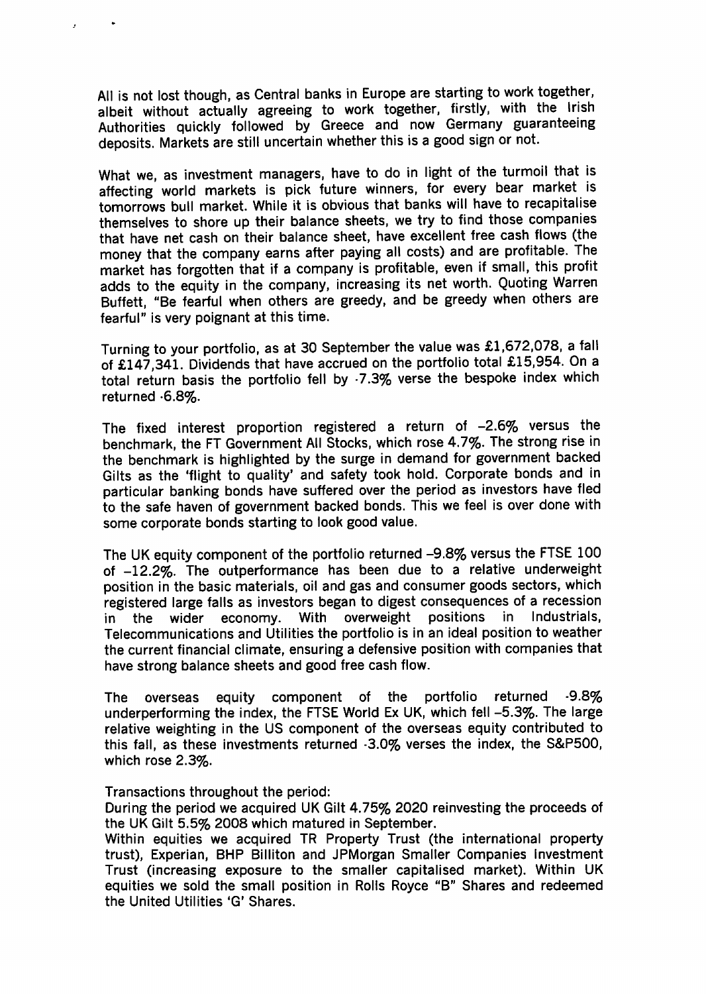All is not lost though, as Central banks in Europe are starting to work together, albeit without actually agreeing to work together, firstly, with the Irish Authorities quickly followed by Greece and now Germany guaranteeing deposits. Markets are still uncertain whether this is a good sign or not.

What we, as investment managers, have to do in light of the turmoil that is affecting world markets is pick future winners, for every bear market is tomorrows bull market. While it is obvious that banks will have to recapitalise themselves to shore up their balance sheets, we try to find those companies that have net cash on their balance sheet, have excellent free cash flows (the money that the company earns after paying all costs) and are profitable. The market has forgotten that if a company is profitable, even if small, this profit adds to the equity in the company, increasing its net worth. Quoting Warren Buffett, "Be fearful when others are greedy, and be greedy when others are fearful" is very poignant at this time.

Turning to your portfolio, as at 30 September the value was £1,672,078, a fall of £147,341. Dividends that have accrued on the portfolio total £15,954. On a total return basis the portfolio fell by -7.3% verse the bespoke index which returned .6.8%.

The fixed interest proportion registered a return of -2.6% versus the benchmark, the FT Government All Stocks, which rose 4.7%. The strong rise in the benchmark is highlighted by the surge in demand for government backed Gilts as the 'flight to quality' and safety took hold. Corporate bonds and in particular banking bonds have suffered over the period as investors have fled to the safe haven of government backed bonds. This we feel is over done with some corporate bonds starting to look good value.

The UK equity component of the portfolio returned -9.8% versus the FTSE 100 of -12.2%. The outperformance has been due to a relative underweight position in the basic materials, oil and gas and consumer goods sectors, which registered large falls as investors began to digest consequences of a recession Industrials. With overweight positions in. the wider economy. in I Telecommunications and Utilities the portfolio is in an ideal position to weather the current financial climate, ensuring a defensive position with companies that have strong balance sheets and good free cash flow.

component of the portfolio returned  $-9.8%$ **The** overseas eauity underperforming the index, the FTSE World Ex UK, which fell -5.3%. The large relative weighting in the US component of the overseas equity contributed to this fall, as these investments returned -3.0% verses the index, the S&P500, which rose 2.3%.

Transactions throughout the period:

During the period we acquired UK Gilt 4.75% 2020 reinvesting the proceeds of the UK Gilt 5.5% 2008 which matured in September.

Within equities we acquired TR Property Trust (the international property trust), Experian, BHP Billiton and JPMorgan Smaller Companies Investment Trust (increasing exposure to the smaller capitalised market). Within UK equities we sold the small position in Rolls Royce "B" Shares and redeemed the United Utilities 'G' Shares.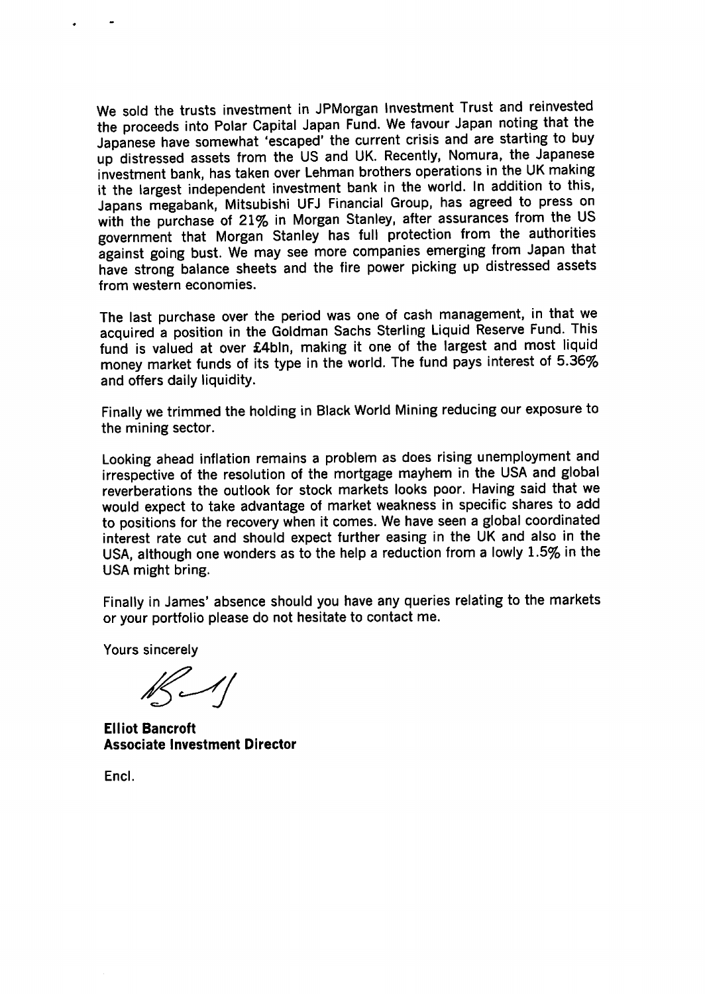We sold the trusts investment in JPMorgan Investment Trust and reinvested the proceeds into Polar Capital Japan Fund. We favour Japan noting that the Japanese have somewhat 'escaped' the current crisis and are starting to buy up distressed assets from the US and UK. Recently, Nomura, the Japanese investment bank, has taken over Lehman brothers operations in the UK making it the largest independent investment bank in the world. In addition to this, Japans megabank, Mitsubishi UFJ Financial Group, has agreed to press on with the purchase of 21% in Morgan Stanley, after assurances from the US government that Morgan Stanley has full protection from the authorities against going bust. We may see more companies emerging from Japan that have strong balance sheets and the fire power picking up distressed assets from western economies.

The last purchase over the period was one of cash management, in that we acquired a position in the Goldman Sachs Sterling Liquid Reserve Fund. This fund is valued at over £4bln, making it one of the largest and most liquid money market funds of its type in the world. The fund pays interest of 5.36% and offers daily liquidity.

Finally we trimmed the holding in Black World Mining reducing our exposure to the mining sector.

Looking ahead inflation remains a problem as does rising unemployment and irrespective of the resolution of the mortgage mayhem in the USA and global reverberations the outlook for stock markets looks poor. Having said that we would expect to take advantage of market weakness in specific shares to add to positions for the recovery when it comes. We have seen a global coordinated interest rate cut and should expect further easing in the UK and also in the USA, although one wonders as to the help a reduction from a lowly 1.5% in the USA might bring.

Finally in James' absence should you have any queries relating to the markets or your portfolio please do not hesitate to contact me.

Yours sincerely

 $16 - 11$ 

**Elliot Bancroft Associate Investment Director** 

Encl.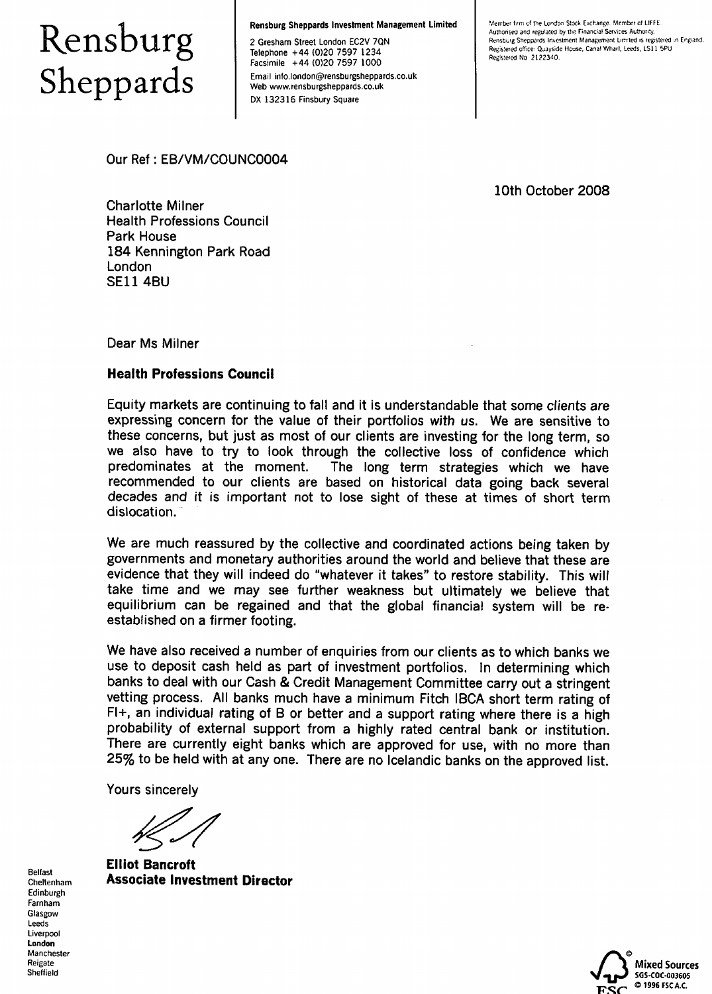# Rensburg<br>Sheppards

Rensburg Sheppards Investment Management Limited

2 Gresham Street London EC2V 7QN Telephone +44 (0)20 7597 1234 Facsimile +44 (0)20 7597 1000

Email info.london@rensburgsheppards.co.uk Web www.rensburgsheppards.co.uk DX 132316 Finsbury Square

Member firm of the London Stock Exchange. Member of LIFFE. Authorised and regulated by the Financial Services Authority,<br>Rensburg Sheppards Investment Management Limited is registered in England. Registered office: Quayside House, Canal Wharf, Leeds, LS11 5PU Registered No. 2122340.

Our Ref: EB/VM/COUNC0004

10th October 2008

**Charlotte Milner Health Professions Council** Park House 184 Kennington Park Road London **SE11 4BU** 

Dear Ms Milner

#### **Health Professions Council**

Equity markets are continuing to fall and it is understandable that some clients are expressing concern for the value of their portfolios with us. We are sensitive to these concerns, but just as most of our clients are investing for the long term, so we also have to try to look through the collective loss of confidence which predominates at the moment. The long term strategies which we have recommended to our clients are based on historical data going back several decades and it is important not to lose sight of these at times of short term dislocation.

We are much reassured by the collective and coordinated actions being taken by governments and monetary authorities around the world and believe that these are evidence that they will indeed do "whatever it takes" to restore stability. This will take time and we may see further weakness but ultimately we believe that equilibrium can be regained and that the global financial system will be reestablished on a firmer footing.

We have also received a number of enquiries from our clients as to which banks we use to deposit cash held as part of investment portfolios. In determining which banks to deal with our Cash & Credit Management Committee carry out a stringent vetting process. All banks much have a minimum Fitch IBCA short term rating of  $FI<sup>+</sup>$ , an individual rating of B or better and a support rating where there is a high probability of external support from a highly rated central bank or institution. There are currently eight banks which are approved for use, with no more than 25% to be held with at any one. There are no Icelandic banks on the approved list.

Yours sincerely

**Elliot Bancroft Associate Investment Director** 



**Belfast** Cheltenham Edinburgh Farnham Glasgow Leeds Liverpool London Manchester Reigate Sheffield